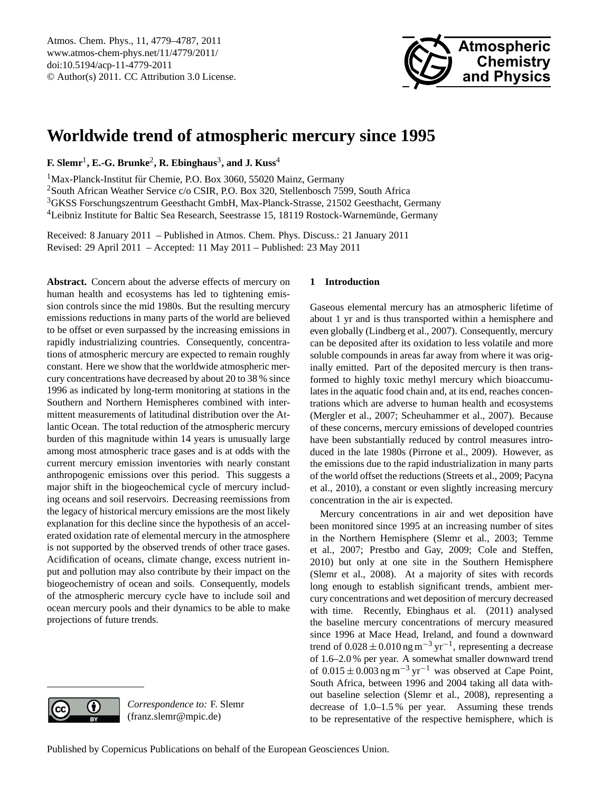<span id="page-0-0"></span>Atmos. Chem. Phys., 11, 4779–4787, 2011 www.atmos-chem-phys.net/11/4779/2011/ doi:10.5194/acp-11-4779-2011 © Author(s) 2011. CC Attribution 3.0 License.



# **Worldwide trend of atmospheric mercury since 1995**

**F. Slemr**<sup>1</sup> **, E.-G. Brunke**<sup>2</sup> **, R. Ebinghaus**<sup>3</sup> **, and J. Kuss**<sup>4</sup>

 $1$ Max-Planck-Institut für Chemie, P.O. Box 3060, 55020 Mainz, Germany

<sup>2</sup>South African Weather Service c/o CSIR, P.O. Box 320, Stellenbosch 7599, South Africa <sup>3</sup>GKSS Forschungszentrum Geesthacht GmbH, Max-Planck-Strasse, 21502 Geesthacht, Germany <sup>4</sup>Leibniz Institute for Baltic Sea Research, Seestrasse 15, 18119 Rostock-Warnemünde, Germany

Received: 8 January 2011 – Published in Atmos. Chem. Phys. Discuss.: 21 January 2011 Revised: 29 April 2011 – Accepted: 11 May 2011 – Published: 23 May 2011

**Abstract.** Concern about the adverse effects of mercury on human health and ecosystems has led to tightening emission controls since the mid 1980s. But the resulting mercury emissions reductions in many parts of the world are believed to be offset or even surpassed by the increasing emissions in rapidly industrializing countries. Consequently, concentrations of atmospheric mercury are expected to remain roughly constant. Here we show that the worldwide atmospheric mercury concentrations have decreased by about 20 to 38 % since 1996 as indicated by long-term monitoring at stations in the Southern and Northern Hemispheres combined with intermittent measurements of latitudinal distribution over the Atlantic Ocean. The total reduction of the atmospheric mercury burden of this magnitude within 14 years is unusually large among most atmospheric trace gases and is at odds with the current mercury emission inventories with nearly constant anthropogenic emissions over this period. This suggests a major shift in the biogeochemical cycle of mercury including oceans and soil reservoirs. Decreasing reemissions from the legacy of historical mercury emissions are the most likely explanation for this decline since the hypothesis of an accelerated oxidation rate of elemental mercury in the atmosphere is not supported by the observed trends of other trace gases. Acidification of oceans, climate change, excess nutrient input and pollution may also contribute by their impact on the biogeochemistry of ocean and soils. Consequently, models of the atmospheric mercury cycle have to include soil and ocean mercury pools and their dynamics to be able to make projections of future trends.

# **1 Introduction**

Gaseous elemental mercury has an atmospheric lifetime of about 1 yr and is thus transported within a hemisphere and even globally (Lindberg et al., 2007). Consequently, mercury can be deposited after its oxidation to less volatile and more soluble compounds in areas far away from where it was originally emitted. Part of the deposited mercury is then transformed to highly toxic methyl mercury which bioaccumulates in the aquatic food chain and, at its end, reaches concentrations which are adverse to human health and ecosystems (Mergler et al., 2007; Scheuhammer et al., 2007). Because of these concerns, mercury emissions of developed countries have been substantially reduced by control measures introduced in the late 1980s (Pirrone et al., 2009). However, as the emissions due to the rapid industrialization in many parts of the world offset the reductions (Streets et al., 2009; Pacyna et al., 2010), a constant or even slightly increasing mercury concentration in the air is expected.

Mercury concentrations in air and wet deposition have been monitored since 1995 at an increasing number of sites in the Northern Hemisphere (Slemr et al., 2003; Temme et al., 2007; Prestbo and Gay, 2009; Cole and Steffen, 2010) but only at one site in the Southern Hemisphere (Slemr et al., 2008). At a majority of sites with records long enough to establish significant trends, ambient mercury concentrations and wet deposition of mercury decreased with time. Recently, Ebinghaus et al. (2011) analysed the baseline mercury concentrations of mercury measured since 1996 at Mace Head, Ireland, and found a downward trend of  $0.028 \pm 0.010$  ng m<sup>-3</sup> yr<sup>-1</sup>, representing a decrease of 1.6–2.0 % per year. A somewhat smaller downward trend of  $0.015 \pm 0.003$  ng m<sup>-3</sup> yr<sup>-1</sup> was observed at Cape Point, South Africa, between 1996 and 2004 taking all data without baseline selection (Slemr et al., 2008), representing a decrease of 1.0–1.5 % per year. Assuming these trends to be representative of the respective hemisphere, which is

*Correspondence to:* F. Slemr (franz.slemr@mpic.de)

0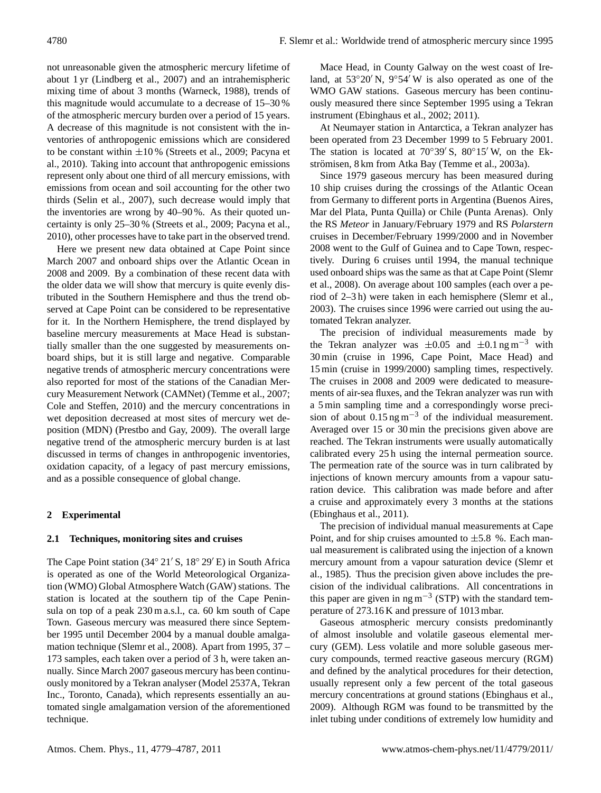not unreasonable given the atmospheric mercury lifetime of about 1 yr (Lindberg et al., 2007) and an intrahemispheric mixing time of about 3 months (Warneck, 1988), trends of this magnitude would accumulate to a decrease of 15–30 % of the atmospheric mercury burden over a period of 15 years. A decrease of this magnitude is not consistent with the inventories of anthropogenic emissions which are considered to be constant within  $\pm 10\%$  (Streets et al., 2009; Pacyna et al., 2010). Taking into account that anthropogenic emissions represent only about one third of all mercury emissions, with emissions from ocean and soil accounting for the other two thirds (Selin et al., 2007), such decrease would imply that the inventories are wrong by 40–90 %. As their quoted uncertainty is only 25–30 % (Streets et al., 2009; Pacyna et al., 2010), other processes have to take part in the observed trend.

Here we present new data obtained at Cape Point since March 2007 and onboard ships over the Atlantic Ocean in 2008 and 2009. By a combination of these recent data with the older data we will show that mercury is quite evenly distributed in the Southern Hemisphere and thus the trend observed at Cape Point can be considered to be representative for it. In the Northern Hemisphere, the trend displayed by baseline mercury measurements at Mace Head is substantially smaller than the one suggested by measurements onboard ships, but it is still large and negative. Comparable negative trends of atmospheric mercury concentrations were also reported for most of the stations of the Canadian Mercury Measurement Network (CAMNet) (Temme et al., 2007; Cole and Steffen, 2010) and the mercury concentrations in wet deposition decreased at most sites of mercury wet deposition (MDN) (Prestbo and Gay, 2009). The overall large negative trend of the atmospheric mercury burden is at last discussed in terms of changes in anthropogenic inventories, oxidation capacity, of a legacy of past mercury emissions, and as a possible consequence of global change.

## **2 Experimental**

# **2.1 Techniques, monitoring sites and cruises**

The Cape Point station  $(34° 21′ S, 18° 29′ E)$  in South Africa is operated as one of the World Meteorological Organization (WMO) Global Atmosphere Watch (GAW) stations. The station is located at the southern tip of the Cape Peninsula on top of a peak 230 m a.s.l., ca. 60 km south of Cape Town. Gaseous mercury was measured there since September 1995 until December 2004 by a manual double amalgamation technique (Slemr et al., 2008). Apart from 1995, 37 – 173 samples, each taken over a period of 3 h, were taken annually. Since March 2007 gaseous mercury has been continuously monitored by a Tekran analyser (Model 2537A, Tekran Inc., Toronto, Canada), which represents essentially an automated single amalgamation version of the aforementioned technique.

Mace Head, in County Galway on the west coast of Ireland, at  $53°20'$  N,  $9°54'$  W is also operated as one of the WMO GAW stations. Gaseous mercury has been continuously measured there since September 1995 using a Tekran instrument (Ebinghaus et al., 2002; 2011).

At Neumayer station in Antarctica, a Tekran analyzer has been operated from 23 December 1999 to 5 February 2001. The station is located at  $70°39'$  S,  $80°15'$  W, on the Ekströmisen, 8 km from Atka Bay (Temme et al., 2003a).

Since 1979 gaseous mercury has been measured during 10 ship cruises during the crossings of the Atlantic Ocean from Germany to different ports in Argentina (Buenos Aires, Mar del Plata, Punta Quilla) or Chile (Punta Arenas). Only the RS *Meteor* in January/February 1979 and RS *Polarstern* cruises in December/February 1999/2000 and in November 2008 went to the Gulf of Guinea and to Cape Town, respectively. During 6 cruises until 1994, the manual technique used onboard ships was the same as that at Cape Point (Slemr et al., 2008). On average about 100 samples (each over a period of 2–3 h) were taken in each hemisphere (Slemr et al., 2003). The cruises since 1996 were carried out using the automated Tekran analyzer.

The precision of individual measurements made by the Tekran analyzer was  $\pm 0.05$  and  $\pm 0.1$  ng m<sup>-3</sup> with 30 min (cruise in 1996, Cape Point, Mace Head) and 15 min (cruise in 1999/2000) sampling times, respectively. The cruises in 2008 and 2009 were dedicated to measurements of air-sea fluxes, and the Tekran analyzer was run with a 5 min sampling time and a correspondingly worse precision of about  $0.15$  ng m<sup>-3</sup> of the individual measurement. Averaged over 15 or 30 min the precisions given above are reached. The Tekran instruments were usually automatically calibrated every 25 h using the internal permeation source. The permeation rate of the source was in turn calibrated by injections of known mercury amounts from a vapour saturation device. This calibration was made before and after a cruise and approximately every 3 months at the stations (Ebinghaus et al., 2011).

The precision of individual manual measurements at Cape Point, and for ship cruises amounted to  $\pm$  5.8 %. Each manual measurement is calibrated using the injection of a known mercury amount from a vapour saturation device (Slemr et al., 1985). Thus the precision given above includes the precision of the individual calibrations. All concentrations in this paper are given in ng m<sup>-3</sup> (STP) with the standard temperature of 273.16 K and pressure of 1013 mbar.

Gaseous atmospheric mercury consists predominantly of almost insoluble and volatile gaseous elemental mercury (GEM). Less volatile and more soluble gaseous mercury compounds, termed reactive gaseous mercury (RGM) and defined by the analytical procedures for their detection, usually represent only a few percent of the total gaseous mercury concentrations at ground stations (Ebinghaus et al., 2009). Although RGM was found to be transmitted by the inlet tubing under conditions of extremely low humidity and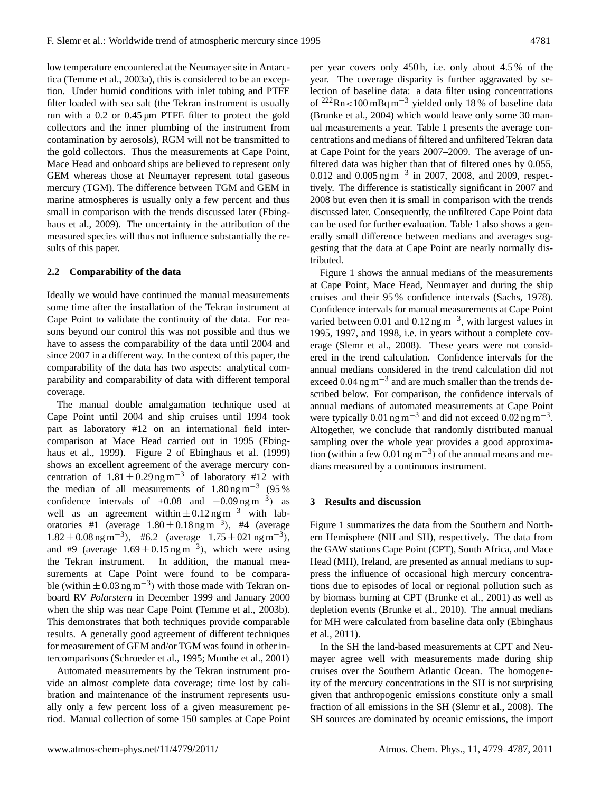low temperature encountered at the Neumayer site in Antarctica (Temme et al., 2003a), this is considered to be an exception. Under humid conditions with inlet tubing and PTFE filter loaded with sea salt (the Tekran instrument is usually run with a 0.2 or 0.45 µm PTFE filter to protect the gold collectors and the inner plumbing of the instrument from contamination by aerosols), RGM will not be transmitted to the gold collectors. Thus the measurements at Cape Point, Mace Head and onboard ships are believed to represent only GEM whereas those at Neumayer represent total gaseous mercury (TGM). The difference between TGM and GEM in marine atmospheres is usually only a few percent and thus small in comparison with the trends discussed later (Ebinghaus et al., 2009). The uncertainty in the attribution of the measured species will thus not influence substantially the results of this paper.

#### **2.2 Comparability of the data**

Ideally we would have continued the manual measurements some time after the installation of the Tekran instrument at Cape Point to validate the continuity of the data. For reasons beyond our control this was not possible and thus we have to assess the comparability of the data until 2004 and since 2007 in a different way. In the context of this paper, the comparability of the data has two aspects: analytical comparability and comparability of data with different temporal coverage.

The manual double amalgamation technique used at Cape Point until 2004 and ship cruises until 1994 took part as laboratory #12 on an international field intercomparison at Mace Head carried out in 1995 (Ebinghaus et al., 1999). Figure 2 of Ebinghaus et al. (1999) shows an excellent agreement of the average mercury concentration of  $1.81 \pm 0.29$  ng m<sup>-3</sup> of laboratory #12 with the median of all measurements of  $1.80 \text{ ng m}^{-3}$  (95% confidence intervals of  $+0.08$  and  $-0.09$  ng m<sup>-3</sup>) as well as an agreement within  $\pm 0.12$  ng m<sup>-3</sup> with laboratories #1 (average  $1.80 \pm 0.18$  ng m<sup>-3</sup>), #4 (average  $1.82 \pm 0.08$  ng m<sup>-3</sup>), #6.2 (average  $1.75 \pm 0.021$  ng m<sup>-3</sup>), and #9 (average  $1.69 \pm 0.15$  ng m<sup>-3</sup>), which were using the Tekran instrument. In addition, the manual measurements at Cape Point were found to be comparable (within  $\pm$  0.03 ng m<sup>-3</sup>) with those made with Tekran onboard RV *Polarstern* in December 1999 and January 2000 when the ship was near Cape Point (Temme et al., 2003b). This demonstrates that both techniques provide comparable results. A generally good agreement of different techniques for measurement of GEM and/or TGM was found in other intercomparisons (Schroeder et al., 1995; Munthe et al., 2001)

Automated measurements by the Tekran instrument provide an almost complete data coverage; time lost by calibration and maintenance of the instrument represents usually only a few percent loss of a given measurement period. Manual collection of some 150 samples at Cape Point per year covers only 450 h, i.e. only about 4.5 % of the year. The coverage disparity is further aggravated by selection of baseline data: a data filter using concentrations of  $^{222}$ Rn<100 mBq m<sup>-3</sup> yielded only 18% of baseline data (Brunke et al., 2004) which would leave only some 30 manual measurements a year. Table 1 presents the average concentrations and medians of filtered and unfiltered Tekran data at Cape Point for the years 2007–2009. The average of unfiltered data was higher than that of filtered ones by 0.055, 0.012 and 0.005 ng m−<sup>3</sup> in 2007, 2008, and 2009, respectively. The difference is statistically significant in 2007 and 2008 but even then it is small in comparison with the trends discussed later. Consequently, the unfiltered Cape Point data can be used for further evaluation. Table 1 also shows a generally small difference between medians and averages suggesting that the data at Cape Point are nearly normally distributed.

Figure 1 shows the annual medians of the measurements at Cape Point, Mace Head, Neumayer and during the ship cruises and their 95 % confidence intervals (Sachs, 1978). Confidence intervals for manual measurements at Cape Point varied between 0.01 and  $0.12$  ng m<sup>-3</sup>, with largest values in 1995, 1997, and 1998, i.e. in years without a complete coverage (Slemr et al., 2008). These years were not considered in the trend calculation. Confidence intervals for the annual medians considered in the trend calculation did not exceed 0.04 ng  $m^{-3}$  and are much smaller than the trends described below. For comparison, the confidence intervals of annual medians of automated measurements at Cape Point were typically 0.01 ng m<sup>-3</sup> and did not exceed 0.02 ng m<sup>-3</sup>. Altogether, we conclude that randomly distributed manual sampling over the whole year provides a good approximation (within a few 0.01 ng m<sup>-3</sup>) of the annual means and medians measured by a continuous instrument.

## **3 Results and discussion**

Figure 1 summarizes the data from the Southern and Northern Hemisphere (NH and SH), respectively. The data from the GAW stations Cape Point (CPT), South Africa, and Mace Head (MH), Ireland, are presented as annual medians to suppress the influence of occasional high mercury concentrations due to episodes of local or regional pollution such as by biomass burning at CPT (Brunke et al., 2001) as well as depletion events (Brunke et al., 2010). The annual medians for MH were calculated from baseline data only (Ebinghaus et al., 2011).

In the SH the land-based measurements at CPT and Neumayer agree well with measurements made during ship cruises over the Southern Atlantic Ocean. The homogeneity of the mercury concentrations in the SH is not surprising given that anthropogenic emissions constitute only a small fraction of all emissions in the SH (Slemr et al., 2008). The SH sources are dominated by oceanic emissions, the import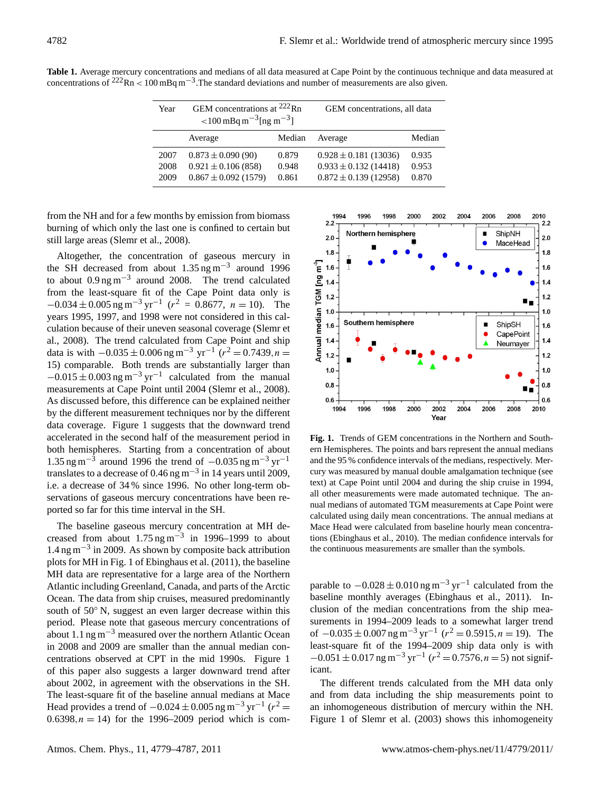| Year                 | GEM concentrations at ${}^{222}$ Rn<br>$<$ 100 mBq m <sup>-3</sup> [ng m <sup>-3</sup> ] |                         | GEM concentrations, all data                                                        |                         |
|----------------------|------------------------------------------------------------------------------------------|-------------------------|-------------------------------------------------------------------------------------|-------------------------|
|                      | Average                                                                                  | Median                  | Average                                                                             | Median                  |
| 2007<br>2008<br>2009 | $0.873 \pm 0.090(90)$<br>$0.921 \pm 0.106(858)$<br>$0.867 \pm 0.092$ (1579)              | 0.879<br>0.948<br>0.861 | $0.928 \pm 0.181$ (13036)<br>$0.933 \pm 0.132$ (14418)<br>$0.872 \pm 0.139$ (12958) | 0.935<br>0.953<br>0.870 |

**Table 1.** Average mercury concentrations and medians of all data measured at Cape Point by the continuous technique and data measured at concentrations of  $^{222}$ Rn < 100 mBq m<sup>-3</sup>. The standard deviations and number of measurements are also given.

from the NH and for a few months by emission from biomass burning of which only the last one is confined to certain but still large areas (Slemr et al., 2008).

Altogether, the concentration of gaseous mercury in the SH decreased from about  $1.35$  ng m<sup>-3</sup> around 1996 to about  $0.9 \text{ ng m}^{-3}$  around 2008. The trend calculated from the least-square fit of the Cape Point data only is  $-0.034 \pm 0.005$  ng m<sup>-3</sup> yr<sup>-1</sup> ( $r^2 = 0.8677$ ,  $n = 10$ ). The years 1995, 1997, and 1998 were not considered in this calculation because of their uneven seasonal coverage (Slemr et al., 2008). The trend calculated from Cape Point and ship data is with  $-0.035 \pm 0.006$  ng m<sup>-3</sup> yr<sup>-1</sup> ( $r^2 = 0.7439$ , n = 15) comparable. Both trends are substantially larger than  $-0.015 \pm 0.003$  ng m<sup>-3</sup> yr<sup>-1</sup> calculated from the manual measurements at Cape Point until 2004 (Slemr et al., 2008). As discussed before, this difference can be explained neither by the different measurement techniques nor by the different data coverage. Figure 1 suggests that the downward trend accelerated in the second half of the measurement period in both hemispheres. Starting from a concentration of about 1.35 ng m<sup>-3</sup> around 1996 the trend of  $-0.035$  ng m<sup>-3</sup> yr<sup>-1</sup> translates to a decrease of 0.46 ng m<sup>-3</sup> in 14 years until 2009, i.e. a decrease of 34 % since 1996. No other long-term observations of gaseous mercury concentrations have been reported so far for this time interval in the SH.

The baseline gaseous mercury concentration at MH decreased from about  $1.75$  ng m<sup>-3</sup> in 1996–1999 to about 1.4 ng m−<sup>3</sup> in 2009. As shown by composite back attribution plots for MH in Fig. 1 of Ebinghaus et al. (2011), the baseline MH data are representative for a large area of the Northern Atlantic including Greenland, Canada, and parts of the Arctic Ocean. The data from ship cruises, measured predominantly south of 50 $\degree$  N, suggest an even larger decrease within this period. Please note that gaseous mercury concentrations of about 1.1 ng m<sup>-3</sup> measured over the northern Atlantic Ocean in 2008 and 2009 are smaller than the annual median concentrations observed at CPT in the mid 1990s. Figure 1 of this paper also suggests a larger downward trend after about 2002, in agreement with the observations in the SH. The least-square fit of the baseline annual medians at Mace Head provides a trend of  $-0.024 \pm 0.005$  ng m<sup>-3</sup> yr<sup>-1</sup> ( $r^2$  = 0.6398,  $n = 14$ ) for the 1996–2009 period which is com-



**Fig. 1.** Trends of GEM concentrations in the Northern and Southern Hemispheres. The points and bars represent the annual medians and the 95 % confidence intervals of the medians, respectively. Mercury was measured by manual double amalgamation technique (see text) at Cape Point until 2004 and during the ship cruise in 1994, all other measurements were made automated technique. The annual medians of automated TGM measurements at Cape Point were calculated using daily mean concentrations. The annual medians at Mace Head were calculated from baseline hourly mean concentrations (Ebinghaus et al., 2010). The median confidence intervals for the continuous measurements are smaller than the symbols.

parable to  $-0.028 \pm 0.010$  ng m<sup>-3</sup> yr<sup>-1</sup> calculated from the baseline monthly averages (Ebinghaus et al., 2011). Inclusion of the median concentrations from the ship measurements in 1994–2009 leads to a somewhat larger trend of  $-0.035 \pm 0.007$  ng m<sup>-3</sup> yr<sup>-1</sup> ( $r^2 = 0.5915$ ,  $n = 19$ ). The least-square fit of the 1994–2009 ship data only is with  $-0.051 \pm 0.017$  ng m<sup>-3</sup> yr<sup>-1</sup> ( $r^2 = 0.7576$ , n = 5) not significant.

The different trends calculated from the MH data only and from data including the ship measurements point to an inhomogeneous distribution of mercury within the NH. Figure 1 of Slemr et al. (2003) shows this inhomogeneity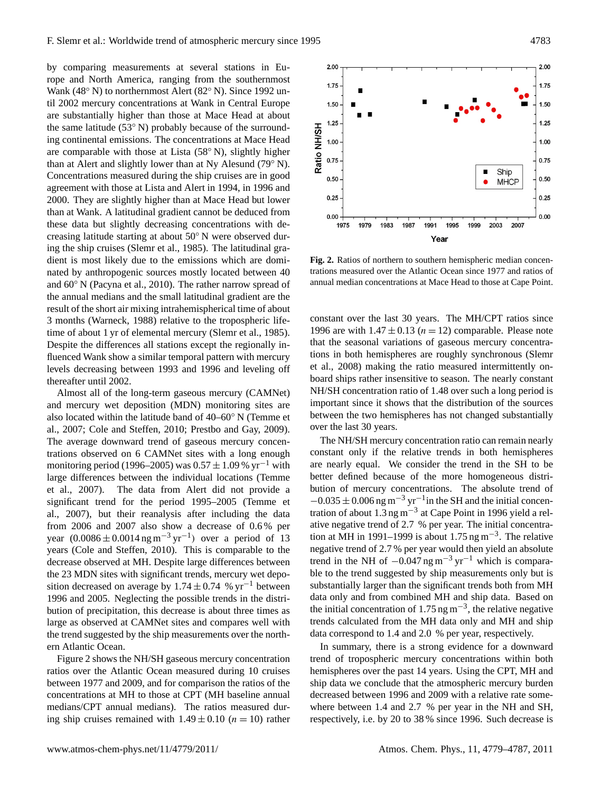by comparing measurements at several stations in Europe and North America, ranging from the southernmost Wank (48◦ N) to northernmost Alert (82◦ N). Since 1992 until 2002 mercury concentrations at Wank in Central Europe are substantially higher than those at Mace Head at about the same latitude (53◦ N) probably because of the surrounding continental emissions. The concentrations at Mace Head are comparable with those at Lista (58◦ N), slightly higher than at Alert and slightly lower than at Ny Alesund (79◦ N). Concentrations measured during the ship cruises are in good agreement with those at Lista and Alert in 1994, in 1996 and 2000. They are slightly higher than at Mace Head but lower than at Wank. A latitudinal gradient cannot be deduced from these data but slightly decreasing concentrations with decreasing latitude starting at about 50◦ N were observed during the ship cruises (Slemr et al., 1985). The latitudinal gradient is most likely due to the emissions which are dominated by anthropogenic sources mostly located between 40 and 60◦ N (Pacyna et al., 2010). The rather narrow spread of the annual medians and the small latitudinal gradient are the result of the short air mixing intrahemispherical time of about 3 months (Warneck, 1988) relative to the tropospheric lifetime of about 1 yr of elemental mercury (Slemr et al., 1985). Despite the differences all stations except the regionally influenced Wank show a similar temporal pattern with mercury levels decreasing between 1993 and 1996 and leveling off thereafter until 2002.

Almost all of the long-term gaseous mercury (CAMNet) and mercury wet deposition (MDN) monitoring sites are also located within the latitude band of 40–60◦ N (Temme et al., 2007; Cole and Steffen, 2010; Prestbo and Gay, 2009). The average downward trend of gaseous mercury concentrations observed on 6 CAMNet sites with a long enough monitoring period (1996–2005) was  $0.57 \pm 1.09$  % yr<sup>-1</sup> with large differences between the individual locations (Temme et al., 2007). The data from Alert did not provide a significant trend for the period 1995–2005 (Temme et al., 2007), but their reanalysis after including the data from 2006 and 2007 also show a decrease of 0.6 % per year  $(0.0086 \pm 0.0014 \text{ ng m}^{-3} \text{ yr}^{-1})$  over a period of 13 years (Cole and Steffen, 2010). This is comparable to the decrease observed at MH. Despite large differences between the 23 MDN sites with significant trends, mercury wet deposition decreased on average by 1.74  $\pm$  0.74 % yr<sup>-1</sup> between 1996 and 2005. Neglecting the possible trends in the distribution of precipitation, this decrease is about three times as large as observed at CAMNet sites and compares well with the trend suggested by the ship measurements over the northern Atlantic Ocean.

Figure 2 shows the NH/SH gaseous mercury concentration ratios over the Atlantic Ocean measured during 10 cruises between 1977 and 2009, and for comparison the ratios of the concentrations at MH to those at CPT (MH baseline annual medians/CPT annual medians). The ratios measured during ship cruises remained with  $1.49 \pm 0.10$  ( $n = 10$ ) rather



**Fig. 2.** Ratios of northern to southern hemispheric median concentrations measured over the Atlantic Ocean since 1977 and ratios of annual median concentrations at Mace Head to those at Cape Point.

constant over the last 30 years. The MH/CPT ratios since 1996 are with  $1.47 \pm 0.13$  ( $n = 12$ ) comparable. Please note that the seasonal variations of gaseous mercury concentrations in both hemispheres are roughly synchronous (Slemr et al., 2008) making the ratio measured intermittently onboard ships rather insensitive to season. The nearly constant NH/SH concentration ratio of 1.48 over such a long period is important since it shows that the distribution of the sources between the two hemispheres has not changed substantially over the last 30 years.

The NH/SH mercury concentration ratio can remain nearly constant only if the relative trends in both hemispheres are nearly equal. We consider the trend in the SH to be better defined because of the more homogeneous distribution of mercury concentrations. The absolute trend of  $-0.035 \pm 0.006$  ng m<sup>-3</sup> yr<sup>-1</sup> in the SH and the initial concentration of about  $1.3$  ng m<sup>-3</sup> at Cape Point in 1996 yield a relative negative trend of 2.7 % per year. The initial concentration at MH in 1991–1999 is about 1.75 ng m<sup>-3</sup>. The relative negative trend of 2.7 % per year would then yield an absolute trend in the NH of  $-0.047$  ng m<sup>-3</sup> yr<sup>-1</sup> which is comparable to the trend suggested by ship measurements only but is substantially larger than the significant trends both from MH data only and from combined MH and ship data. Based on the initial concentration of 1.75 ng m<sup>-3</sup>, the relative negative trends calculated from the MH data only and MH and ship data correspond to 1.4 and 2.0 % per year, respectively.

In summary, there is a strong evidence for a downward trend of tropospheric mercury concentrations within both hemispheres over the past 14 years. Using the CPT, MH and ship data we conclude that the atmospheric mercury burden decreased between 1996 and 2009 with a relative rate somewhere between 1.4 and 2.7 % per year in the NH and SH, respectively, i.e. by 20 to 38 % since 1996. Such decrease is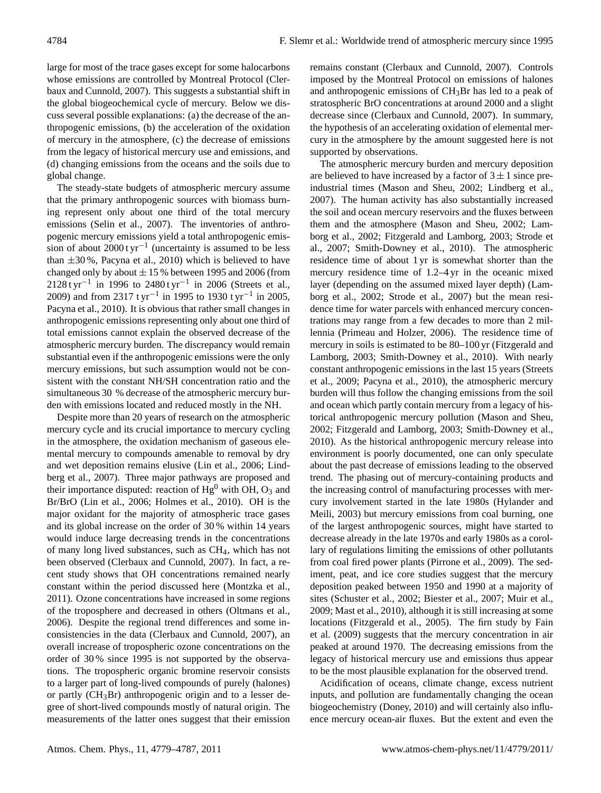large for most of the trace gases except for some halocarbons whose emissions are controlled by Montreal Protocol (Clerbaux and Cunnold, 2007). This suggests a substantial shift in the global biogeochemical cycle of mercury. Below we discuss several possible explanations: (a) the decrease of the anthropogenic emissions, (b) the acceleration of the oxidation of mercury in the atmosphere, (c) the decrease of emissions from the legacy of historical mercury use and emissions, and (d) changing emissions from the oceans and the soils due to global change.

The steady-state budgets of atmospheric mercury assume that the primary anthropogenic sources with biomass burning represent only about one third of the total mercury emissions (Selin et al., 2007). The inventories of anthropogenic mercury emissions yield a total anthropogenic emission of about  $2000 \text{ t yr}^{-1}$  (uncertainty is assumed to be less than  $\pm 30$ %, Pacyna et al., 2010) which is believed to have changed only by about  $\pm$  15 % between 1995 and 2006 (from  $2128 \text{ t yr}^{-1}$  in 1996 to  $2480 \text{ t yr}^{-1}$  in 2006 (Streets et al., 2009) and from 2317 t yr<sup>-1</sup> in 1995 to 1930 t yr<sup>-1</sup> in 2005, Pacyna et al., 2010). It is obvious that rather small changes in anthropogenic emissions representing only about one third of total emissions cannot explain the observed decrease of the atmospheric mercury burden. The discrepancy would remain substantial even if the anthropogenic emissions were the only mercury emissions, but such assumption would not be consistent with the constant NH/SH concentration ratio and the simultaneous 30 % decrease of the atmospheric mercury burden with emissions located and reduced mostly in the NH.

Despite more than 20 years of research on the atmospheric mercury cycle and its crucial importance to mercury cycling in the atmosphere, the oxidation mechanism of gaseous elemental mercury to compounds amenable to removal by dry and wet deposition remains elusive (Lin et al., 2006; Lindberg et al., 2007). Three major pathways are proposed and their importance disputed: reaction of  $Hg^0$  with OH, O<sub>3</sub> and Br/BrO (Lin et al., 2006; Holmes et al., 2010). OH is the major oxidant for the majority of atmospheric trace gases and its global increase on the order of 30 % within 14 years would induce large decreasing trends in the concentrations of many long lived substances, such as CH4, which has not been observed (Clerbaux and Cunnold, 2007). In fact, a recent study shows that OH concentrations remained nearly constant within the period discussed here (Montzka et al., 2011). Ozone concentrations have increased in some regions of the troposphere and decreased in others (Oltmans et al., 2006). Despite the regional trend differences and some inconsistencies in the data (Clerbaux and Cunnold, 2007), an overall increase of tropospheric ozone concentrations on the order of 30 % since 1995 is not supported by the observations. The tropospheric organic bromine reservoir consists to a larger part of long-lived compounds of purely (halones) or partly  $(CH_3Br)$  anthropogenic origin and to a lesser degree of short-lived compounds mostly of natural origin. The measurements of the latter ones suggest that their emission remains constant (Clerbaux and Cunnold, 2007). Controls imposed by the Montreal Protocol on emissions of halones and anthropogenic emissions of  $CH<sub>3</sub>Br$  has led to a peak of stratospheric BrO concentrations at around 2000 and a slight decrease since (Clerbaux and Cunnold, 2007). In summary, the hypothesis of an accelerating oxidation of elemental mercury in the atmosphere by the amount suggested here is not supported by observations.

The atmospheric mercury burden and mercury deposition are believed to have increased by a factor of  $3 \pm 1$  since preindustrial times (Mason and Sheu, 2002; Lindberg et al., 2007). The human activity has also substantially increased the soil and ocean mercury reservoirs and the fluxes between them and the atmosphere (Mason and Sheu, 2002; Lamborg et al., 2002; Fitzgerald and Lamborg, 2003; Strode et al., 2007; Smith-Downey et al., 2010). The atmospheric residence time of about 1 yr is somewhat shorter than the mercury residence time of 1.2–4 yr in the oceanic mixed layer (depending on the assumed mixed layer depth) (Lamborg et al., 2002; Strode et al., 2007) but the mean residence time for water parcels with enhanced mercury concentrations may range from a few decades to more than 2 millennia (Primeau and Holzer, 2006). The residence time of mercury in soils is estimated to be 80–100 yr (Fitzgerald and Lamborg, 2003; Smith-Downey et al., 2010). With nearly constant anthropogenic emissions in the last 15 years (Streets et al., 2009; Pacyna et al., 2010), the atmospheric mercury burden will thus follow the changing emissions from the soil and ocean which partly contain mercury from a legacy of historical anthropogenic mercury pollution (Mason and Sheu, 2002; Fitzgerald and Lamborg, 2003; Smith-Downey et al., 2010). As the historical anthropogenic mercury release into environment is poorly documented, one can only speculate about the past decrease of emissions leading to the observed trend. The phasing out of mercury-containing products and the increasing control of manufacturing processes with mercury involvement started in the late 1980s (Hylander and Meili, 2003) but mercury emissions from coal burning, one of the largest anthropogenic sources, might have started to decrease already in the late 1970s and early 1980s as a corollary of regulations limiting the emissions of other pollutants from coal fired power plants (Pirrone et al., 2009). The sediment, peat, and ice core studies suggest that the mercury deposition peaked between 1950 and 1990 at a majority of sites (Schuster et al., 2002; Biester et al., 2007; Muir et al., 2009; Mast et al., 2010), although it is still increasing at some locations (Fitzgerald et al., 2005). The firn study by Fain et al. (2009) suggests that the mercury concentration in air peaked at around 1970. The decreasing emissions from the legacy of historical mercury use and emissions thus appear to be the most plausible explanation for the observed trend.

Acidification of oceans, climate change, excess nutrient inputs, and pollution are fundamentally changing the ocean biogeochemistry (Doney, 2010) and will certainly also influence mercury ocean-air fluxes. But the extent and even the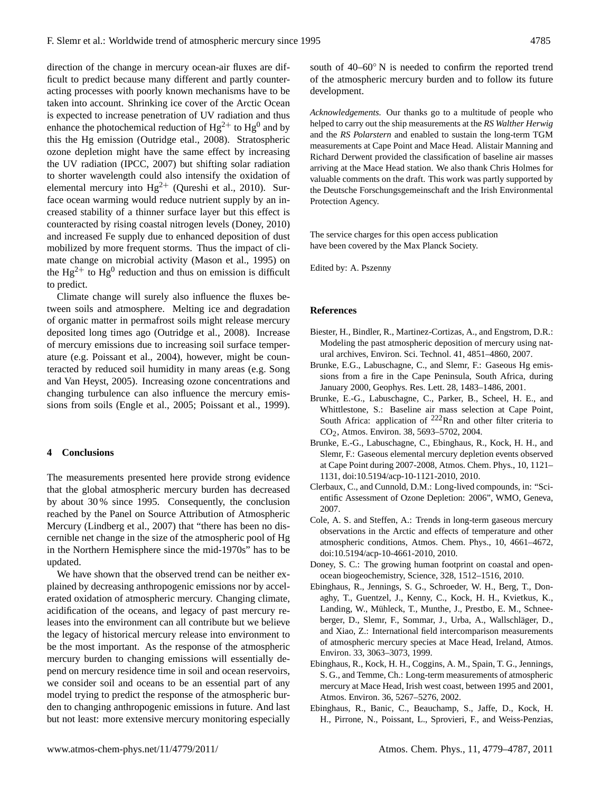direction of the change in mercury ocean-air fluxes are difficult to predict because many different and partly counteracting processes with poorly known mechanisms have to be taken into account. Shrinking ice cover of the Arctic Ocean is expected to increase penetration of UV radiation and thus enhance the photochemical reduction of  $Hg^{2+}$  to  $Hg^0$  and by this the Hg emission (Outridge etal., 2008). Stratospheric ozone depletion might have the same effect by increasing the UV radiation (IPCC, 2007) but shifting solar radiation to shorter wavelength could also intensify the oxidation of elemental mercury into  $Hg^{2+}$  (Qureshi et al., 2010). Surface ocean warming would reduce nutrient supply by an increased stability of a thinner surface layer but this effect is counteracted by rising coastal nitrogen levels (Doney, 2010) and increased Fe supply due to enhanced deposition of dust mobilized by more frequent storms. Thus the impact of climate change on microbial activity (Mason et al., 1995) on the  $Hg^{2+}$  to  $Hg^{0}$  reduction and thus on emission is difficult to predict.

Climate change will surely also influence the fluxes between soils and atmosphere. Melting ice and degradation of organic matter in permafrost soils might release mercury deposited long times ago (Outridge et al., 2008). Increase of mercury emissions due to increasing soil surface temperature (e.g. Poissant et al., 2004), however, might be counteracted by reduced soil humidity in many areas (e.g. Song and Van Heyst, 2005). Increasing ozone concentrations and changing turbulence can also influence the mercury emissions from soils (Engle et al., 2005; Poissant et al., 1999).

## **4 Conclusions**

The measurements presented here provide strong evidence that the global atmospheric mercury burden has decreased by about 30 % since 1995. Consequently, the conclusion reached by the Panel on Source Attribution of Atmospheric Mercury (Lindberg et al., 2007) that "there has been no discernible net change in the size of the atmospheric pool of Hg in the Northern Hemisphere since the mid-1970s" has to be updated.

We have shown that the observed trend can be neither explained by decreasing anthropogenic emissions nor by accelerated oxidation of atmospheric mercury. Changing climate, acidification of the oceans, and legacy of past mercury releases into the environment can all contribute but we believe the legacy of historical mercury release into environment to be the most important. As the response of the atmospheric mercury burden to changing emissions will essentially depend on mercury residence time in soil and ocean reservoirs, we consider soil and oceans to be an essential part of any model trying to predict the response of the atmospheric burden to changing anthropogenic emissions in future. And last but not least: more extensive mercury monitoring especially south of 40–60◦ N is needed to confirm the reported trend of the atmospheric mercury burden and to follow its future development.

*Acknowledgements.* Our thanks go to a multitude of people who helped to carry out the ship measurements at the *RS Walther Herwig* and the *RS Polarstern* and enabled to sustain the long-term TGM measurements at Cape Point and Mace Head. Alistair Manning and Richard Derwent provided the classification of baseline air masses arriving at the Mace Head station. We also thank Chris Holmes for valuable comments on the draft. This work was partly supported by the Deutsche Forschungsgemeinschaft and the Irish Environmental Protection Agency.

The service charges for this open access publication have been covered by the Max Planck Society.

Edited by: A. Pszenny

#### **References**

- Biester, H., Bindler, R., Martinez-Cortizas, A., and Engstrom, D.R.: Modeling the past atmospheric deposition of mercury using natural archives, Environ. Sci. Technol. 41, 4851–4860, 2007.
- Brunke, E.G., Labuschagne, C., and Slemr, F.: Gaseous Hg emissions from a fire in the Cape Peninsula, South Africa, during January 2000, Geophys. Res. Lett. 28, 1483–1486, 2001.
- Brunke, E.-G., Labuschagne, C., Parker, B., Scheel, H. E., and Whittlestone, S.: Baseline air mass selection at Cape Point, South Africa: application of  $222$ Rn and other filter criteria to CO2, Atmos. Environ. 38, 5693–5702, 2004.
- Brunke, E.-G., Labuschagne, C., Ebinghaus, R., Kock, H. H., and Slemr, F.: Gaseous elemental mercury depletion events observed at Cape Point during 2007-2008, Atmos. Chem. Phys., 10, 1121– 1131, [doi:10.5194/acp-10-1121-2010,](http://dx.doi.org/10.5194/acp-10-1121-2010) 2010.
- Clerbaux, C., and Cunnold, D.M.: Long-lived compounds, in: "Scientific Assessment of Ozone Depletion: 2006", WMO, Geneva, 2007.
- Cole, A. S. and Steffen, A.: Trends in long-term gaseous mercury observations in the Arctic and effects of temperature and other atmospheric conditions, Atmos. Chem. Phys., 10, 4661–4672, [doi:10.5194/acp-10-4661-2010,](http://dx.doi.org/10.5194/acp-10-4661-2010) 2010.
- Doney, S. C.: The growing human footprint on coastal and openocean biogeochemistry, Science, 328, 1512–1516, 2010.
- Ebinghaus, R., Jennings, S. G., Schroeder, W. H., Berg, T., Donaghy, T., Guentzel, J., Kenny, C., Kock, H. H., Kvietkus, K., Landing, W., Mühleck, T., Munthe, J., Prestbo, E. M., Schneeberger, D., Slemr, F., Sommar, J., Urba, A., Wallschläger, D., and Xiao, Z.: International field intercomparison measurements of atmospheric mercury species at Mace Head, Ireland, Atmos. Environ. 33, 3063–3073, 1999.
- Ebinghaus, R., Kock, H. H., Coggins, A. M., Spain, T. G., Jennings, S. G., and Temme, Ch.: Long-term measurements of atmospheric mercury at Mace Head, Irish west coast, between 1995 and 2001, Atmos. Environ. 36, 5267–5276, 2002.
- Ebinghaus, R., Banic, C., Beauchamp, S., Jaffe, D., Kock, H. H., Pirrone, N., Poissant, L., Sprovieri, F., and Weiss-Penzias,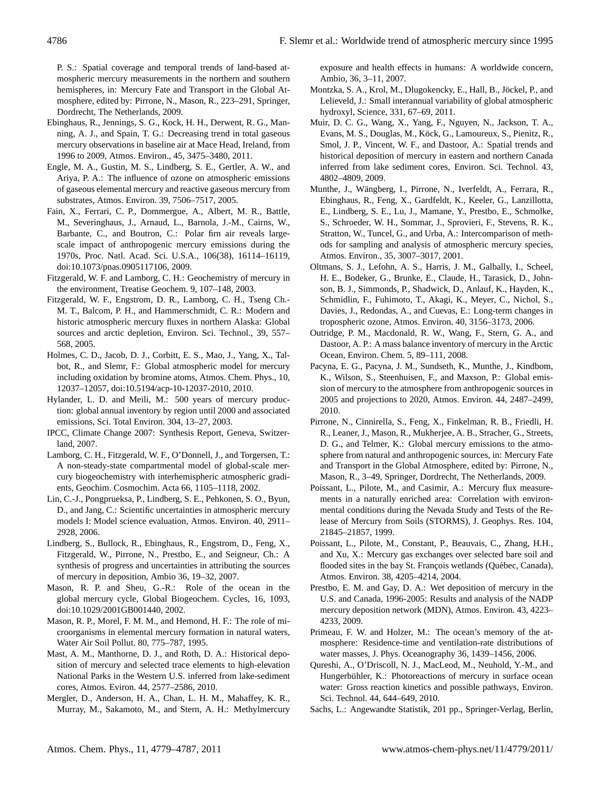P. S.: Spatial coverage and temporal trends of land-based atmospheric mercury measurements in the northern and southern hemispheres, in: Mercury Fate and Transport in the Global Atmosphere, edited by: Pirrone, N., Mason, R., 223–291, Springer, Dordrecht, The Netherlands, 2009.

- Ebinghaus, R., Jennings, S. G., Kock, H. H., Derwent, R. G., Manning, A. J., and Spain, T. G.: Decreasing trend in total gaseous mercury observations in baseline air at Mace Head, Ireland, from 1996 to 2009, Atmos. Environ., 45, 3475–3480, 2011.
- Engle, M. A., Gustin, M. S., Lindberg, S. E., Gertler, A. W., and Ariya, P. A.: The influence of ozone on atmospheric emissions of gaseous elemental mercury and reactive gaseous mercury from substrates, Atmos. Environ. 39, 7506–7517, 2005.
- Fain, X., Ferrari, C. P., Dommergue, A., Albert, M. R., Battle, M., Severinghaus, J., Arnaud, L., Barnola, J.-M., Cairns, W., Barbante, C., and Boutron, C.: Polar firn air reveals largescale impact of anthropogenic mercury emissions during the 1970s, Proc. Natl. Acad. Sci. U.S.A., 106(38), 16114–16119, [doi:10.1073/pnas.0905117106,](http://dx.doi.org/10.1073/pnas.0905117106) 2009.
- Fitzgerald, W. F. and Lamborg, C. H.: Geochemistry of mercury in the environment, Treatise Geochem. 9, 107–148, 2003.
- Fitzgerald, W. F., Engstrom, D. R., Lamborg, C. H., Tseng Ch.- M. T., Balcom, P. H., and Hammerschmidt, C. R.: Modern and historic atmospheric mercury fluxes in northern Alaska: Global sources and arctic depletion, Environ. Sci. Technol., 39, 557– 568, 2005.
- Holmes, C. D., Jacob, D. J., Corbitt, E. S., Mao, J., Yang, X., Talbot, R., and Slemr, F.: Global atmospheric model for mercury including oxidation by bromine atoms, Atmos. Chem. Phys., 10, 12037–12057, [doi:10.5194/acp-10-12037-2010,](http://dx.doi.org/10.5194/acp-10-12037-2010) 2010.
- Hylander, L. D. and Meili, M.: 500 years of mercury production: global annual inventory by region until 2000 and associated emissions, Sci. Total Environ. 304, 13–27, 2003.
- IPCC, Climate Change 2007: Synthesis Report, Geneva, Switzerland, 2007.
- Lamborg, C. H., Fitzgerald, W. F., O'Donnell, J., and Torgersen, T.: A non-steady-state compartmental model of global-scale mercury biogeochemistry with interhemispheric atmospheric gradients, Geochim. Cosmochim. Acta 66, 1105–1118, 2002.
- Lin, C.-J., Pongprueksa, P., Lindberg, S. E., Pehkonen, S. O., Byun, D., and Jang, C.: Scientific uncertainties in atmospheric mercury models I: Model science evaluation, Atmos. Environ. 40, 2911– 2928, 2006.
- Lindberg, S., Bullock, R., Ebinghaus, R., Engstrom, D., Feng, X., Fitzgerald, W., Pirrone, N., Prestbo, E., and Seigneur, Ch.: A synthesis of progress and uncertainties in attributing the sources of mercury in deposition, Ambio 36, 19–32, 2007.
- Mason, R. P. and Sheu, G.-R.: Role of the ocean in the global mercury cycle, Global Biogeochem. Cycles, 16, 1093, [doi:10.1029/2001GB001440,](http://dx.doi.org/10.1029/2001GB001440) 2002.
- Mason, R. P., Morel, F. M. M., and Hemond, H. F.: The role of microorganisms in elemental mercury formation in natural waters, Water Air Soil Pollut. 80, 775–787, 1995.
- Mast, A. M., Manthorne, D. J., and Roth, D. A.: Historical deposition of mercury and selected trace elements to high-elevation National Parks in the Western U.S. inferred from lake-sediment cores, Atmos. Eviron. 44, 2577–2586, 2010.
- Mergler, D., Anderson, H. A., Chan, L. H. M., Mahaffey, K. R., Murray, M., Sakamoto, M., and Stern, A. H.: Methylmercury

exposure and health effects in humans: A worldwide concern, Ambio, 36, 3–11, 2007.

- Montzka, S. A., Krol, M., Dlugokencky, E., Hall, B., Jöckel, P., and Lelieveld, J.: Small interannual variability of global atmospheric hydroxyl, Science, 331, 67–69, 2011.
- Muir, D. C. G., Wang, X., Yang, F., Nguyen, N., Jackson, T. A., Evans, M. S., Douglas, M., Köck, G., Lamoureux, S., Pienitz, R., Smol, J. P., Vincent, W. F., and Dastoor, A.: Spatial trends and historical deposition of mercury in eastern and northern Canada inferred from lake sediment cores, Environ. Sci. Technol. 43, 4802–4809, 2009.
- Munthe, J., Wängberg, I., Pirrone, N., Iverfeldt, A., Ferrara, R., Ebinghaus, R., Feng, X., Gardfeldt, K., Keeler, G., Lanzillotta, E., Lindberg, S. E., Lu, J., Mamane, Y., Prestbo, E., Schmolke, S., Schroeder, W. H., Sommar, J., Sprovieri, F., Stevens, R. K., Stratton, W., Tuncel, G., and Urba, A.: Intercomparison of methods for sampling and analysis of atmospheric mercury species, Atmos. Environ., 35, 3007–3017, 2001.
- Oltmans, S. J., Lefohn, A. S., Harris, J. M., Galbally, I., Scheel, H. E., Bodeker, G., Brunke, E., Claude, H., Tarasick, D., Johnson, B. J., Simmonds, P., Shadwick, D., Anlauf, K., Hayden, K., Schmidlin, F., Fuhimoto, T., Akagi, K., Meyer, C., Nichol, S., Davies, J., Redondas, A., and Cuevas, E.: Long-term changes in tropospheric ozone, Atmos. Environ. 40, 3156–3173, 2006.
- Outridge, P. M., Macdonald, R. W., Wang, F., Stern, G. A., and Dastoor, A. P.: A mass balance inventory of mercury in the Arctic Ocean, Environ. Chem. 5, 89–111, 2008.
- Pacyna, E. G., Pacyna, J. M., Sundseth, K., Munthe, J., Kindbom, K., Wilson, S., Steenhuisen, F., and Maxson, P.: Global emission of mercury to the atmosphere from anthropogenic sources in 2005 and projections to 2020, Atmos. Environ. 44, 2487–2499, 2010.
- Pirrone, N., Cinnirella, S., Feng, X., Finkelman, R. B., Friedli, H. R., Leaner, J., Mason, R., Mukherjee, A. B., Stracher, G., Streets, D. G., and Telmer, K.: Global mercury emissions to the atmosphere from natural and anthropogenic sources, in: Mercury Fate and Transport in the Global Atmosphere, edited by: Pirrone, N., Mason, R., 3–49, Springer, Dordrecht, The Netherlands, 2009.
- Poissant, L., Pilote, M., and Casimir, A.: Mercury flux measurements in a naturally enriched area: Correlation with environmental conditions during the Nevada Study and Tests of the Release of Mercury from Soils (STORMS), J. Geophys. Res. 104, 21845–21857, 1999.
- Poissant, L., Pilote, M., Constant, P., Beauvais, C., Zhang, H.H., and Xu, X.: Mercury gas exchanges over selected bare soil and flooded sites in the bay St. François wetlands (Québec, Canada), Atmos. Environ. 38, 4205–4214, 2004.
- Prestbo, E. M. and Gay, D. A.: Wet deposition of mercury in the U.S. and Canada, 1996-2005: Results and analysis of the NADP mercury deposition network (MDN), Atmos. Environ. 43, 4223– 4233, 2009.
- Primeau, F. W. and Holzer, M.: The ocean's memory of the atmosphere: Residence-time and ventilation-rate distributions of water masses, J. Phys. Oceanography 36, 1439–1456, 2006.
- Qureshi, A., O'Driscoll, N. J., MacLeod, M., Neuhold, Y.-M., and Hungerbühler, K.: Photoreactions of mercury in surface ocean water: Gross reaction kinetics and possible pathways, Environ. Sci. Technol. 44, 644–649, 2010.
- Sachs, L.: Angewandte Statistik, 201 pp., Springer-Verlag, Berlin,